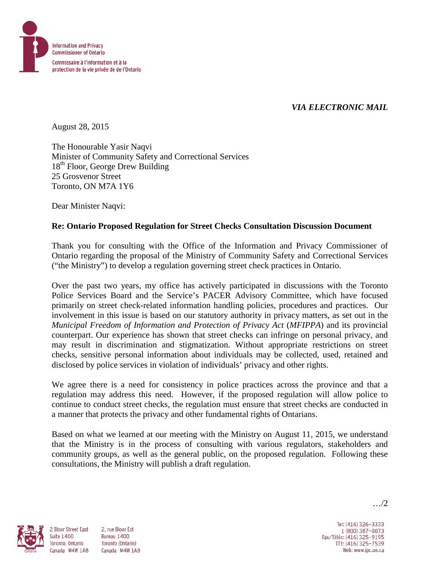

# *VIA ELECTRONIC MAIL*

August 28, 2015

The Honourable Yasir Naqvi Minister of Community Safety and Correctional Services 18<sup>th</sup> Floor, George Drew Building 25 Grosvenor Street Toronto, ON M7A 1Y6

Dear Minister Naqvi:

### **Re: Ontario Proposed Regulation for Street Checks Consultation Discussion Document**

Thank you for consulting with the Office of the Information and Privacy Commissioner of Ontario regarding the proposal of the Ministry of Community Safety and Correctional Services ("the Ministry") to develop a regulation governing street check practices in Ontario.

Over the past two years, my office has actively participated in discussions with the Toronto Police Services Board and the Service's PACER Advisory Committee, which have focused primarily on street check-related information handling policies, procedures and practices. Our involvement in this issue is based on our statutory authority in privacy matters, as set out in the *Municipal Freedom of Information and Protection of Privacy Act* (*MFIPPA*) and its provincial counterpart. Our experience has shown that street checks can infringe on personal privacy, and may result in discrimination and stigmatization. Without appropriate restrictions on street checks, sensitive personal information about individuals may be collected, used, retained and disclosed by police services in violation of individuals' privacy and other rights.

We agree there is a need for consistency in police practices across the province and that a regulation may address this need. However, if the proposed regulation will allow police to continue to conduct street checks, the regulation must ensure that street checks are conducted in a manner that protects the privacy and other fundamental rights of Ontarians.

Based on what we learned at our meeting with the Ministry on August 11, 2015, we understand that the Ministry is in the process of consulting with various regulators, stakeholders and community groups, as well as the general public, on the proposed regulation. Following these consultations, the Ministry will publish a draft regulation.



**Suite 1400** 

2 Bloor Street East 2. rue Bloor Est Bureau 1400 Toronto, Ontario Toronto (Ontario) Canada M4W 1A8 Canada M4W 1A8

Tel: (416) 326-3333 1 (800) 387-0073 Fax/Téléc: (416) 325-9195 TTY: (416) 325-7539 Web: www.ipc.on.ca

…/2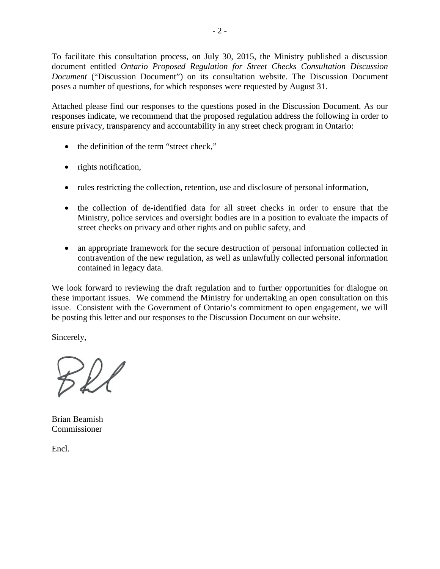To facilitate this consultation process, on July 30, 2015, the Ministry published a discussion document entitled *Ontario Proposed Regulation for Street Checks Consultation Discussion Document* ("Discussion Document") on its consultation website. The Discussion Document poses a number of questions, for which responses were requested by August 31.

Attached please find our responses to the questions posed in the Discussion Document. As our responses indicate, we recommend that the proposed regulation address the following in order to ensure privacy, transparency and accountability in any street check program in Ontario:

- the definition of the term "street check,"
- rights notification,
- rules restricting the collection, retention, use and disclosure of personal information,
- the collection of de-identified data for all street checks in order to ensure that the Ministry, police services and oversight bodies are in a position to evaluate the impacts of street checks on privacy and other rights and on public safety, and
- an appropriate framework for the secure destruction of personal information collected in contravention of the new regulation, as well as unlawfully collected personal information contained in legacy data.

We look forward to reviewing the draft regulation and to further opportunities for dialogue on these important issues. We commend the Ministry for undertaking an open consultation on this issue. Consistent with the Government of Ontario's commitment to open engagement, we will be posting this letter and our responses to the Discussion Document on our website.

Sincerely,

Bel

Brian Beamish Commissioner

Encl.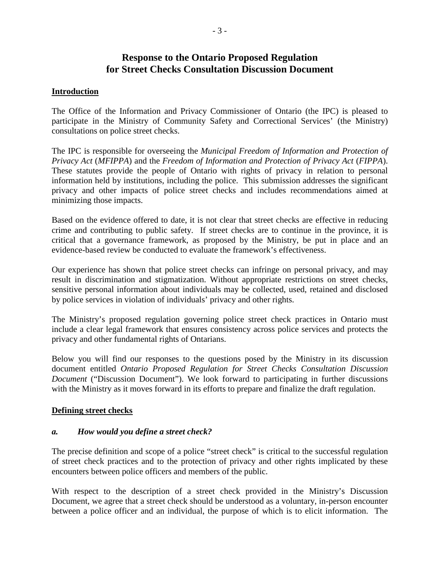# **Response to the Ontario Proposed Regulation for Street Checks Consultation Discussion Document**

### **Introduction**

The Office of the Information and Privacy Commissioner of Ontario (the IPC) is pleased to participate in the Ministry of Community Safety and Correctional Services' (the Ministry) consultations on police street checks.

The IPC is responsible for overseeing the *Municipal Freedom of Information and Protection of Privacy Act* (*MFIPPA*) and the *Freedom of Information and Protection of Privacy Act* (*FIPPA*). These statutes provide the people of Ontario with rights of privacy in relation to personal information held by institutions, including the police. This submission addresses the significant privacy and other impacts of police street checks and includes recommendations aimed at minimizing those impacts.

Based on the evidence offered to date, it is not clear that street checks are effective in reducing crime and contributing to public safety. If street checks are to continue in the province, it is critical that a governance framework, as proposed by the Ministry, be put in place and an evidence-based review be conducted to evaluate the framework's effectiveness.

Our experience has shown that police street checks can infringe on personal privacy, and may result in discrimination and stigmatization. Without appropriate restrictions on street checks, sensitive personal information about individuals may be collected, used, retained and disclosed by police services in violation of individuals' privacy and other rights.

The Ministry's proposed regulation governing police street check practices in Ontario must include a clear legal framework that ensures consistency across police services and protects the privacy and other fundamental rights of Ontarians.

Below you will find our responses to the questions posed by the Ministry in its discussion document entitled *Ontario Proposed Regulation for Street Checks Consultation Discussion Document* ("Discussion Document"). We look forward to participating in further discussions with the Ministry as it moves forward in its efforts to prepare and finalize the draft regulation.

#### **Defining street checks**

#### *a. How would you define a street check?*

The precise definition and scope of a police "street check" is critical to the successful regulation of street check practices and to the protection of privacy and other rights implicated by these encounters between police officers and members of the public.

With respect to the description of a street check provided in the Ministry's Discussion Document, we agree that a street check should be understood as a voluntary, in-person encounter between a police officer and an individual, the purpose of which is to elicit information. The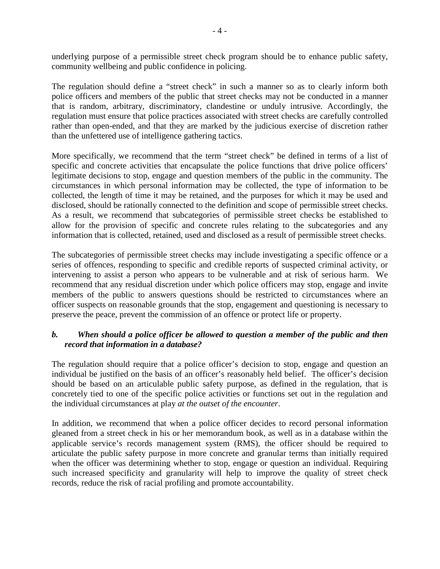underlying purpose of a permissible street check program should be to enhance public safety, community wellbeing and public confidence in policing.

The regulation should define a "street check" in such a manner so as to clearly inform both police officers and members of the public that street checks may not be conducted in a manner that is random, arbitrary, discriminatory, clandestine or unduly intrusive. Accordingly, the regulation must ensure that police practices associated with street checks are carefully controlled rather than open-ended, and that they are marked by the judicious exercise of discretion rather than the unfettered use of intelligence gathering tactics.

More specifically, we recommend that the term "street check" be defined in terms of a list of specific and concrete activities that encapsulate the police functions that drive police officers' legitimate decisions to stop, engage and question members of the public in the community. The circumstances in which personal information may be collected, the type of information to be collected, the length of time it may be retained, and the purposes for which it may be used and disclosed, should be rationally connected to the definition and scope of permissible street checks. As a result, we recommend that subcategories of permissible street checks be established to allow for the provision of specific and concrete rules relating to the subcategories and any information that is collected, retained, used and disclosed as a result of permissible street checks.

The subcategories of permissible street checks may include investigating a specific offence or a series of offences, responding to specific and credible reports of suspected criminal activity, or intervening to assist a person who appears to be vulnerable and at risk of serious harm. We recommend that any residual discretion under which police officers may stop, engage and invite members of the public to answers questions should be restricted to circumstances where an officer suspects on reasonable grounds that the stop, engagement and questioning is necessary to preserve the peace, prevent the commission of an offence or protect life or property.

# *b. When should a police officer be allowed to question a member of the public and then record that information in a database?*

The regulation should require that a police officer's decision to stop, engage and question an individual be justified on the basis of an officer's reasonably held belief. The officer's decision should be based on an articulable public safety purpose, as defined in the regulation, that is concretely tied to one of the specific police activities or functions set out in the regulation and the individual circumstances at play *at the outset of the encounter*.

In addition, we recommend that when a police officer decides to record personal information gleaned from a street check in his or her memorandum book, as well as in a database within the applicable service's records management system (RMS), the officer should be required to articulate the public safety purpose in more concrete and granular terms than initially required when the officer was determining whether to stop, engage or question an individual. Requiring such increased specificity and granularity will help to improve the quality of street check records, reduce the risk of racial profiling and promote accountability.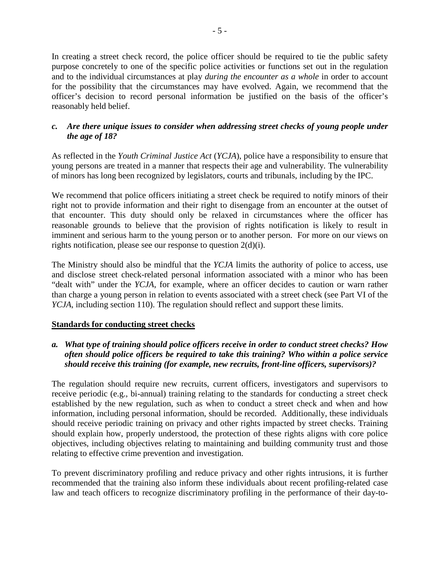In creating a street check record, the police officer should be required to tie the public safety purpose concretely to one of the specific police activities or functions set out in the regulation and to the individual circumstances at play *during the encounter as a whole* in order to account for the possibility that the circumstances may have evolved. Again, we recommend that the officer's decision to record personal information be justified on the basis of the officer's reasonably held belief.

# *c. Are there unique issues to consider when addressing street checks of young people under the age of 18?*

As reflected in the *Youth Criminal Justice Act* (*YCJA*), police have a responsibility to ensure that young persons are treated in a manner that respects their age and vulnerability. The vulnerability of minors has long been recognized by legislators, courts and tribunals, including by the IPC.

We recommend that police officers initiating a street check be required to notify minors of their right not to provide information and their right to disengage from an encounter at the outset of that encounter. This duty should only be relaxed in circumstances where the officer has reasonable grounds to believe that the provision of rights notification is likely to result in imminent and serious harm to the young person or to another person. For more on our views on rights notification, please see our response to question 2(d)(i).

The Ministry should also be mindful that the *YCJA* limits the authority of police to access, use and disclose street check-related personal information associated with a minor who has been "dealt with" under the *YCJA*, for example, where an officer decides to caution or warn rather than charge a young person in relation to events associated with a street check (see Part VI of the *YCJA*, including section 110). The regulation should reflect and support these limits.

# **Standards for conducting street checks**

*a. What type of training should police officers receive in order to conduct street checks? How often should police officers be required to take this training? Who within a police service should receive this training (for example, new recruits, front-line officers, supervisors)?*

The regulation should require new recruits, current officers, investigators and supervisors to receive periodic (e.g., bi-annual) training relating to the standards for conducting a street check established by the new regulation, such as when to conduct a street check and when and how information, including personal information, should be recorded. Additionally, these individuals should receive periodic training on privacy and other rights impacted by street checks. Training should explain how, properly understood, the protection of these rights aligns with core police objectives, including objectives relating to maintaining and building community trust and those relating to effective crime prevention and investigation.

To prevent discriminatory profiling and reduce privacy and other rights intrusions, it is further recommended that the training also inform these individuals about recent profiling-related case law and teach officers to recognize discriminatory profiling in the performance of their day-to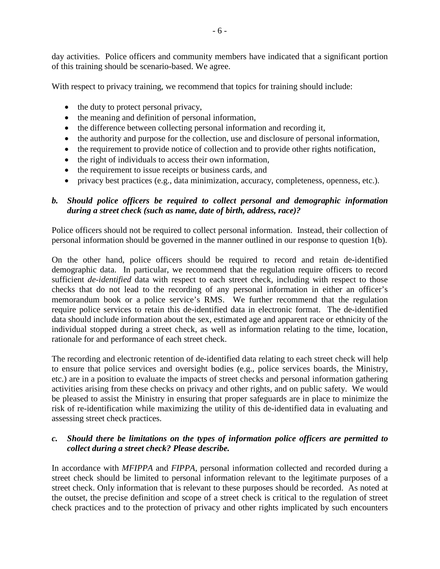day activities. Police officers and community members have indicated that a significant portion of this training should be scenario-based. We agree.

With respect to privacy training, we recommend that topics for training should include:

- the duty to protect personal privacy,
- the meaning and definition of personal information,
- the difference between collecting personal information and recording it,
- the authority and purpose for the collection, use and disclosure of personal information,
- the requirement to provide notice of collection and to provide other rights notification,
- the right of individuals to access their own information,
- the requirement to issue receipts or business cards, and
- privacy best practices (e.g., data minimization, accuracy, completeness, openness, etc.).

# *b. Should police officers be required to collect personal and demographic information during a street check (such as name, date of birth, address, race)?*

Police officers should not be required to collect personal information. Instead, their collection of personal information should be governed in the manner outlined in our response to question 1(b).

On the other hand, police officers should be required to record and retain de-identified demographic data. In particular, we recommend that the regulation require officers to record sufficient *de-identified* data with respect to each street check, including with respect to those checks that do not lead to the recording of any personal information in either an officer's memorandum book or a police service's RMS. We further recommend that the regulation require police services to retain this de-identified data in electronic format. The de-identified data should include information about the sex, estimated age and apparent race or ethnicity of the individual stopped during a street check, as well as information relating to the time, location, rationale for and performance of each street check.

The recording and electronic retention of de-identified data relating to each street check will help to ensure that police services and oversight bodies (e.g., police services boards, the Ministry, etc.) are in a position to evaluate the impacts of street checks and personal information gathering activities arising from these checks on privacy and other rights, and on public safety. We would be pleased to assist the Ministry in ensuring that proper safeguards are in place to minimize the risk of re-identification while maximizing the utility of this de-identified data in evaluating and assessing street check practices.

# *c. Should there be limitations on the types of information police officers are permitted to collect during a street check? Please describe.*

In accordance with *MFIPPA* and *FIPPA*, personal information collected and recorded during a street check should be limited to personal information relevant to the legitimate purposes of a street check. Only information that is relevant to these purposes should be recorded. As noted at the outset, the precise definition and scope of a street check is critical to the regulation of street check practices and to the protection of privacy and other rights implicated by such encounters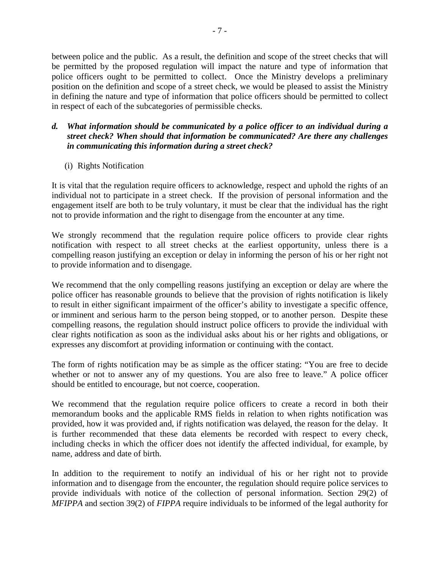between police and the public. As a result, the definition and scope of the street checks that will be permitted by the proposed regulation will impact the nature and type of information that police officers ought to be permitted to collect. Once the Ministry develops a preliminary position on the definition and scope of a street check, we would be pleased to assist the Ministry in defining the nature and type of information that police officers should be permitted to collect in respect of each of the subcategories of permissible checks.

### *d. What information should be communicated by a police officer to an individual during a street check? When should that information be communicated? Are there any challenges in communicating this information during a street check?*

(i) Rights Notification

It is vital that the regulation require officers to acknowledge, respect and uphold the rights of an individual not to participate in a street check. If the provision of personal information and the engagement itself are both to be truly voluntary, it must be clear that the individual has the right not to provide information and the right to disengage from the encounter at any time.

We strongly recommend that the regulation require police officers to provide clear rights notification with respect to all street checks at the earliest opportunity, unless there is a compelling reason justifying an exception or delay in informing the person of his or her right not to provide information and to disengage.

We recommend that the only compelling reasons justifying an exception or delay are where the police officer has reasonable grounds to believe that the provision of rights notification is likely to result in either significant impairment of the officer's ability to investigate a specific offence, or imminent and serious harm to the person being stopped, or to another person. Despite these compelling reasons, the regulation should instruct police officers to provide the individual with clear rights notification as soon as the individual asks about his or her rights and obligations, or expresses any discomfort at providing information or continuing with the contact.

The form of rights notification may be as simple as the officer stating: "You are free to decide whether or not to answer any of my questions. You are also free to leave." A police officer should be entitled to encourage, but not coerce, cooperation.

We recommend that the regulation require police officers to create a record in both their memorandum books and the applicable RMS fields in relation to when rights notification was provided, how it was provided and, if rights notification was delayed, the reason for the delay. It is further recommended that these data elements be recorded with respect to every check, including checks in which the officer does not identify the affected individual, for example, by name, address and date of birth.

In addition to the requirement to notify an individual of his or her right not to provide information and to disengage from the encounter, the regulation should require police services to provide individuals with notice of the collection of personal information. Section 29(2) of *MFIPPA* and section 39(2) of *FIPPA* require individuals to be informed of the legal authority for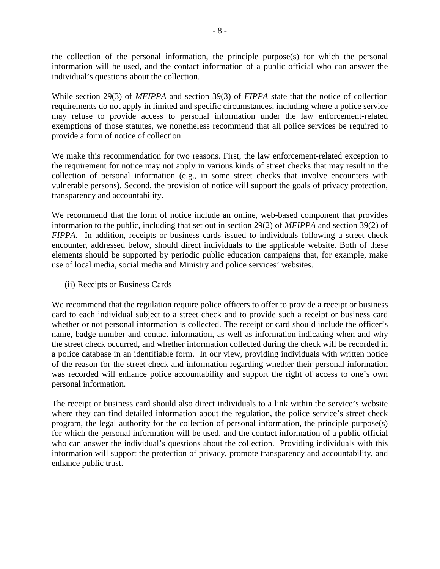the collection of the personal information, the principle purpose(s) for which the personal information will be used, and the contact information of a public official who can answer the individual's questions about the collection.

While section 29(3) of *MFIPPA* and section 39(3) of *FIPPA* state that the notice of collection requirements do not apply in limited and specific circumstances, including where a police service may refuse to provide access to personal information under the law enforcement-related exemptions of those statutes, we nonetheless recommend that all police services be required to provide a form of notice of collection.

We make this recommendation for two reasons. First, the law enforcement-related exception to the requirement for notice may not apply in various kinds of street checks that may result in the collection of personal information (e.g., in some street checks that involve encounters with vulnerable persons). Second, the provision of notice will support the goals of privacy protection, transparency and accountability.

We recommend that the form of notice include an online, web-based component that provides information to the public, including that set out in section 29(2) of *MFIPPA* and section 39(2) of *FIPPA*. In addition, receipts or business cards issued to individuals following a street check encounter, addressed below, should direct individuals to the applicable website. Both of these elements should be supported by periodic public education campaigns that, for example, make use of local media, social media and Ministry and police services' websites.

(ii) Receipts or Business Cards

We recommend that the regulation require police officers to offer to provide a receipt or business card to each individual subject to a street check and to provide such a receipt or business card whether or not personal information is collected. The receipt or card should include the officer's name, badge number and contact information, as well as information indicating when and why the street check occurred, and whether information collected during the check will be recorded in a police database in an identifiable form. In our view, providing individuals with written notice of the reason for the street check and information regarding whether their personal information was recorded will enhance police accountability and support the right of access to one's own personal information.

The receipt or business card should also direct individuals to a link within the service's website where they can find detailed information about the regulation, the police service's street check program, the legal authority for the collection of personal information, the principle purpose(s) for which the personal information will be used, and the contact information of a public official who can answer the individual's questions about the collection. Providing individuals with this information will support the protection of privacy, promote transparency and accountability, and enhance public trust.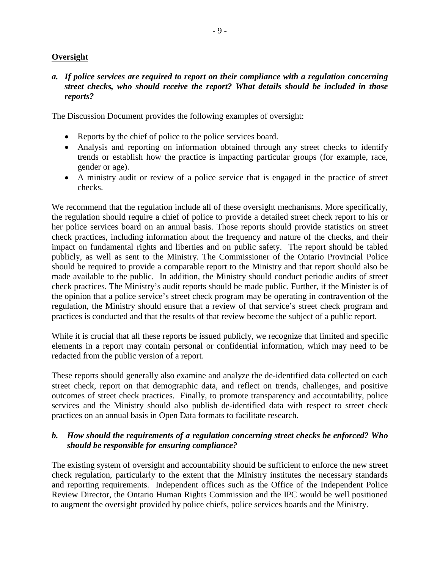# **Oversight**

### *a. If police services are required to report on their compliance with a regulation concerning street checks, who should receive the report? What details should be included in those reports?*

The Discussion Document provides the following examples of oversight:

- Reports by the chief of police to the police services board.
- Analysis and reporting on information obtained through any street checks to identify trends or establish how the practice is impacting particular groups (for example, race, gender or age).
- A ministry audit or review of a police service that is engaged in the practice of street checks.

We recommend that the regulation include all of these oversight mechanisms. More specifically, the regulation should require a chief of police to provide a detailed street check report to his or her police services board on an annual basis. Those reports should provide statistics on street check practices, including information about the frequency and nature of the checks, and their impact on fundamental rights and liberties and on public safety. The report should be tabled publicly, as well as sent to the Ministry. The Commissioner of the Ontario Provincial Police should be required to provide a comparable report to the Ministry and that report should also be made available to the public. In addition, the Ministry should conduct periodic audits of street check practices. The Ministry's audit reports should be made public. Further, if the Minister is of the opinion that a police service's street check program may be operating in contravention of the regulation, the Ministry should ensure that a review of that service's street check program and practices is conducted and that the results of that review become the subject of a public report.

While it is crucial that all these reports be issued publicly, we recognize that limited and specific elements in a report may contain personal or confidential information, which may need to be redacted from the public version of a report.

These reports should generally also examine and analyze the de-identified data collected on each street check, report on that demographic data, and reflect on trends, challenges, and positive outcomes of street check practices. Finally, to promote transparency and accountability, police services and the Ministry should also publish de-identified data with respect to street check practices on an annual basis in Open Data formats to facilitate research.

# *b. How should the requirements of a regulation concerning street checks be enforced? Who should be responsible for ensuring compliance?*

The existing system of oversight and accountability should be sufficient to enforce the new street check regulation, particularly to the extent that the Ministry institutes the necessary standards and reporting requirements. Independent offices such as the Office of the Independent Police Review Director, the Ontario Human Rights Commission and the IPC would be well positioned to augment the oversight provided by police chiefs, police services boards and the Ministry.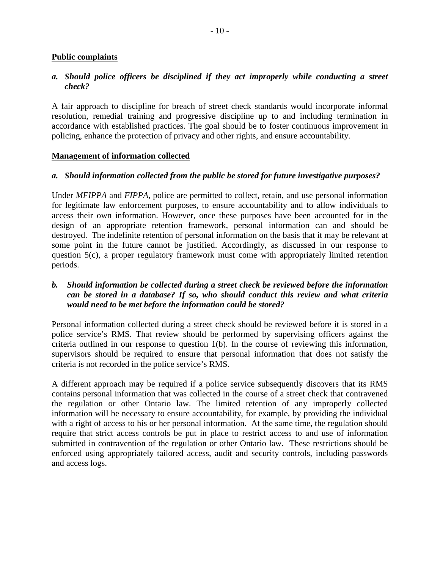#### **Public complaints**

#### *a. Should police officers be disciplined if they act improperly while conducting a street check?*

A fair approach to discipline for breach of street check standards would incorporate informal resolution, remedial training and progressive discipline up to and including termination in accordance with established practices. The goal should be to foster continuous improvement in policing, enhance the protection of privacy and other rights, and ensure accountability.

#### **Management of information collected**

#### *a. Should information collected from the public be stored for future investigative purposes?*

Under *MFIPPA* and *FIPPA*, police are permitted to collect, retain, and use personal information for legitimate law enforcement purposes, to ensure accountability and to allow individuals to access their own information. However, once these purposes have been accounted for in the design of an appropriate retention framework, personal information can and should be destroyed. The indefinite retention of personal information on the basis that it may be relevant at some point in the future cannot be justified. Accordingly, as discussed in our response to question 5(c), a proper regulatory framework must come with appropriately limited retention periods.

### *b. Should information be collected during a street check be reviewed before the information can be stored in a database? If so, who should conduct this review and what criteria would need to be met before the information could be stored?*

Personal information collected during a street check should be reviewed before it is stored in a police service's RMS. That review should be performed by supervising officers against the criteria outlined in our response to question 1(b). In the course of reviewing this information, supervisors should be required to ensure that personal information that does not satisfy the criteria is not recorded in the police service's RMS.

A different approach may be required if a police service subsequently discovers that its RMS contains personal information that was collected in the course of a street check that contravened the regulation or other Ontario law. The limited retention of any improperly collected information will be necessary to ensure accountability, for example, by providing the individual with a right of access to his or her personal information. At the same time, the regulation should require that strict access controls be put in place to restrict access to and use of information submitted in contravention of the regulation or other Ontario law. These restrictions should be enforced using appropriately tailored access, audit and security controls, including passwords and access logs.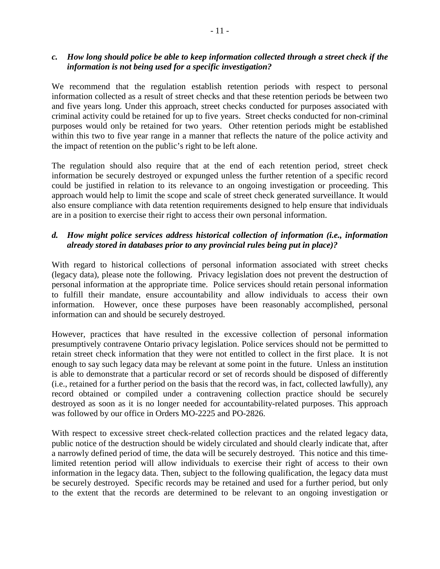#### *c. How long should police be able to keep information collected through a street check if the information is not being used for a specific investigation?*

We recommend that the regulation establish retention periods with respect to personal information collected as a result of street checks and that these retention periods be between two and five years long. Under this approach, street checks conducted for purposes associated with criminal activity could be retained for up to five years. Street checks conducted for non-criminal purposes would only be retained for two years. Other retention periods might be established within this two to five year range in a manner that reflects the nature of the police activity and the impact of retention on the public's right to be left alone.

The regulation should also require that at the end of each retention period, street check information be securely destroyed or expunged unless the further retention of a specific record could be justified in relation to its relevance to an ongoing investigation or proceeding. This approach would help to limit the scope and scale of street check generated surveillance. It would also ensure compliance with data retention requirements designed to help ensure that individuals are in a position to exercise their right to access their own personal information.

# *d. How might police services address historical collection of information (i.e., information already stored in databases prior to any provincial rules being put in place)?*

With regard to historical collections of personal information associated with street checks (legacy data), please note the following. Privacy legislation does not prevent the destruction of personal information at the appropriate time. Police services should retain personal information to fulfill their mandate, ensure accountability and allow individuals to access their own information. However, once these purposes have been reasonably accomplished, personal information can and should be securely destroyed.

However, practices that have resulted in the excessive collection of personal information presumptively contravene Ontario privacy legislation. Police services should not be permitted to retain street check information that they were not entitled to collect in the first place. It is not enough to say such legacy data may be relevant at some point in the future. Unless an institution is able to demonstrate that a particular record or set of records should be disposed of differently (i.e., retained for a further period on the basis that the record was, in fact, collected lawfully), any record obtained or compiled under a contravening collection practice should be securely destroyed as soon as it is no longer needed for accountability-related purposes. This approach was followed by our office in Orders MO-2225 and PO-2826.

With respect to excessive street check-related collection practices and the related legacy data, public notice of the destruction should be widely circulated and should clearly indicate that, after a narrowly defined period of time, the data will be securely destroyed. This notice and this timelimited retention period will allow individuals to exercise their right of access to their own information in the legacy data. Then, subject to the following qualification, the legacy data must be securely destroyed. Specific records may be retained and used for a further period, but only to the extent that the records are determined to be relevant to an ongoing investigation or